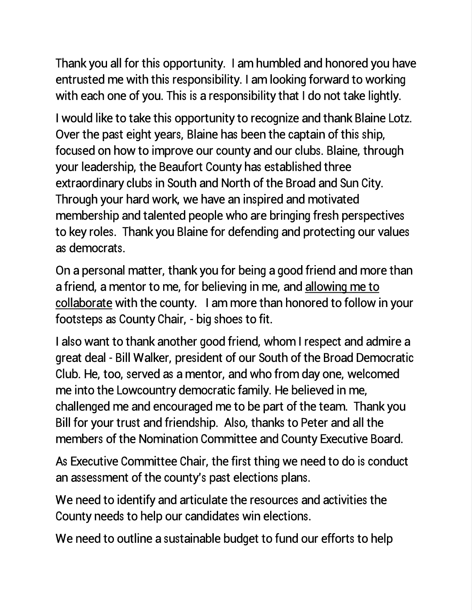Thank you all for this opportunity. I am humbled and honored you have entrusted me with this responsibility. I am looking forward to working with each one of you. This is a responsibility that I do not take lightly.

I would like to take this opportunity to recognize and thank Blaine Lotz. Over the past eight years, Blaine has been the captain of this ship, focused on how to improve our county and our clubs. Blaine, through your leadership, the Beaufort County has established three extraordinary clubs in South and North of the Broad and Sun City. Through your hard work, we have an inspired and motivated membership and talented people who are bringing fresh perspectives to key roles. Thank you Blaine for defending and protecting our values as democrats.

On a personal matter, thank you for being a good friend and more than a friend, a mentor to me, for believing in me, and allowing me to collaborate with the county. I am more than honored to follow in your footsteps as County Chair, - big shoes to fit.

I also want to thank another good friend, whom I respect and admire a great deal - Bill Walker, president of our South of the Broad Democratic Club. He, too, served as a mentor, and who from day one, welcomed me into the Lowcountry democratic family. He believed in me, challenged me and encouraged me to be part of the team. Thank you Bill for your trust and friendship. Also, thanks to Peter and all the members of the Nomination Committee and County Executive Board.

As Executive Committee Chair, the first thing we need to do is conduct an assessment of the county's past elections plans.

We need to identify and articulate the resources and activities the County needs to help our candidates win elections.

We need to outline a sustainable budget to fund our efforts to help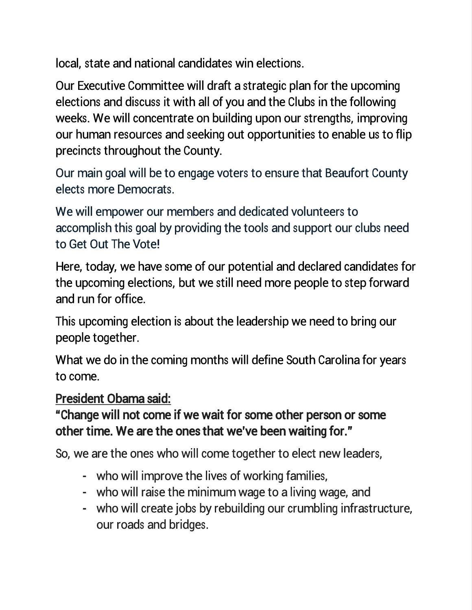local, state and national candidates win elections.

Our Executive Committee will draft a strategic plan for the upcoming elections and discuss it with all of you and the Clubs in the following weeks. We will concentrate on building upon our strengths, improving our human resources and seeking out opportunities to enable us to flip precincts throughout the County.

Our main goal will be to engage voters to ensure that Beaufort County elects more Democrats.

We will empower our members and dedicated volunteers to accomplish this goal by providing the tools and support our clubs need to Get Out The Vote!

Here, today, we have some of our potential and declared candidates for the upcoming elections, but we still need more people to step forward and run for office.

This upcoming election is about the leadership we need to bring our people together.

What we do in the coming months will define South Carolina for years to come.

## President Obama said:

"Change will not come if we wait for some other person or some other time. We are the ones that we've been waiting for."

So, we are the ones who will come together to elect new leaders,

- who will improve the lives of working families,
- who will raise the minimum wage to a living wage, and
- who will create jobs by rebuilding our crumbling infrastructure, our roads and bridges.